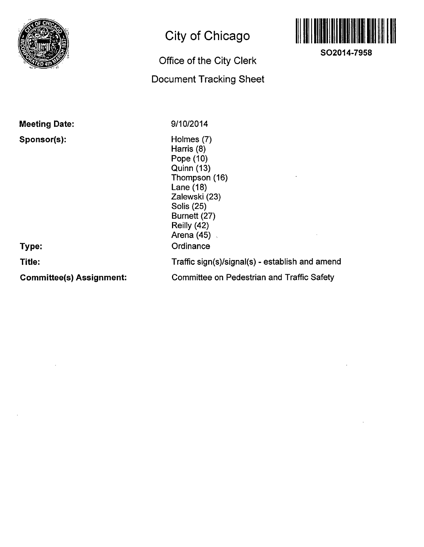

# **City of Chicago**

## **Office of the City Clerk**

### **Document Tracking Sheet**



**SO2014-7958** 

| <b>Meeting Date:</b>            | 9/10/2014                                                                                                                                                                      |
|---------------------------------|--------------------------------------------------------------------------------------------------------------------------------------------------------------------------------|
| Sponsor(s):<br>Type:            | Holmes (7)<br>Harris (8)<br>Pope (10)<br>Quinn (13)<br>Thompson (16)<br>Lane $(18)$<br>Zalewski (23)<br>Solis (25)<br>Burnett (27)<br>Reilly (42)<br>Arena $(45)$<br>Ordinance |
| Title:                          | Traffic sign(s)/signal(s) - establish and amend                                                                                                                                |
| <b>Committee(s) Assignment:</b> | <b>Committee on Pedestrian and Traffic Safety</b>                                                                                                                              |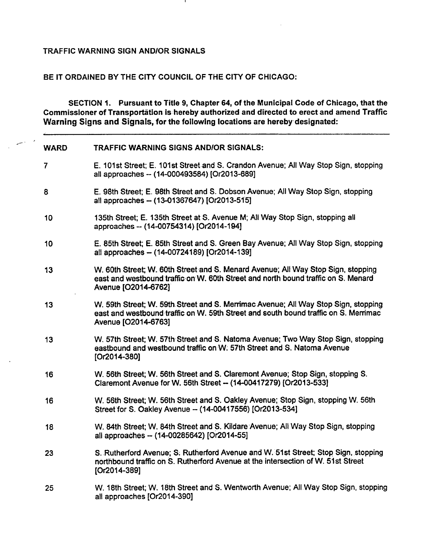#### TRAFFIC WARNING SIGN AND/OR SIGNALS

#### BE IT ORDAINED BY THE CITY COUNCIL OF THE CITY OF CHICAGO:

SECTION 1. Pursuant to Title 9, Chapter 64, of the Municipal Code of Chicago, that the Commissioner of Transportation is hereby authorized and diirected to erect and amend Traffic Warning Signs and Signals, for the following locations are hereby designated:

| <b>WARD</b>    | TRAFFIC WARNING SIGNS AND/OR SIGNALS:                                                                                                                                                            |
|----------------|--------------------------------------------------------------------------------------------------------------------------------------------------------------------------------------------------|
| $\overline{7}$ | E. 101st Street; E. 101st Street and S. Crandon Avenue; All Way Stop Sign, stopping<br>all approaches -- (14-000493584) [Or2013-689]                                                             |
| 8              | E. 98th Street; E. 98th Street and S. Dobson Avenue; All Way Stop Sign, stopping<br>all approaches -- (13-01367647) [Or2013-515]                                                                 |
| 10             | 135th Street; E. 135th Street at S. Avenue M; All Way Stop Sign, stopping all<br>approaches -- (14-00754314) [Or2014-194]                                                                        |
| 10             | E. 85th Street; E. 85th Street and S. Green Bay Avenue; All Way Stop Sign, stopping<br>all approaches - (14-00724189) [Or2014-139]                                                               |
| 13             | W. 60th Street; W. 60th Street and S. Menard Avenue; All Way Stop Sign, stopping<br>east and westbound traffic on W. 60th Street and north bound traffic on S. Menard<br>Avenue [O2014-6762]     |
| 13             | W. 59th Street; W. 59th Street and S. Merrimac Avenue; All Way Stop Sign, stopping<br>east and westbound traffic on W. 59th Street and south bound traffic on S. Merrimac<br>Avenue [O2014-6763] |
| 13             | W. 57th Street; W. 57th Street and S. Natoma Avenue; Two Way Stop Sign, stopping<br>eastbound and westbound traffic on W. 57th Street and S. Natoma Avenue<br>$[Or2014-380]$                     |
| 16             | W. 56th Street; W. 56th Street and S. Claremont Avenue; Stop Sign, stopping S.<br>Claremont Avenue for W. 56th Street - (14-00417279) [Or2013-533]                                               |
| 16             | W. 56th Street; W. 56th Street and S. Oakley Avenue; Stop Sign, stopping W. 56th<br>Street for S. Oakley Avenue -- (14-00417556) [Or2013-534]                                                    |
| 18             | W. 84th Street; W. 84th Street and S. Kildare Avenue; All Way Stop Sign, stopping<br>all approaches -- (14-00285642) [Or2014-55]                                                                 |
| 23             | S. Rutherford Avenue; S. Rutherford Avenue and W. 51st Street; Stop Sign, stopping<br>northbound traffic on S. Rutherford Avenue at the intersection of W. 51st Street<br>[Or2014-389]           |
| 25             | W. 18th Street; W. 18th Street and S. Wentworth Avenue; All Way Stop Sign, stopping<br>all approaches [Or2014-390]                                                                               |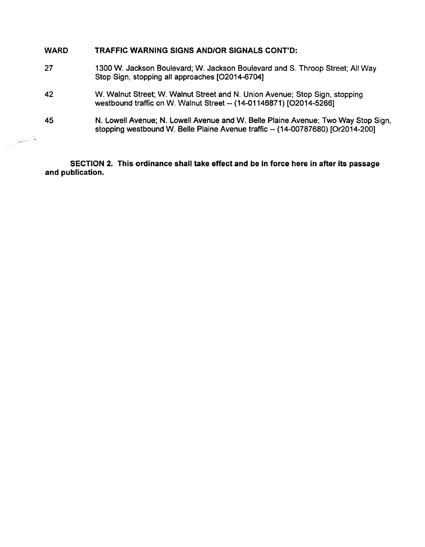| <b>WARD</b> | TRAFFIC WARNING SIGNS AND/OR SIGNALS CONT'D:                                                                                                                         |
|-------------|----------------------------------------------------------------------------------------------------------------------------------------------------------------------|
| 27          | 1300 W. Jackson Boulevard; W. Jackson Boulevard and S. Throop Street; All Way<br>Stop Sign, stopping all approaches [O2014-6704]                                     |
| 42          | W. Walnut Street; W. Walnut Street and N. Union Avenue; Stop Sign, stopping<br>westbound traffic on W. Walnut Street -- (14-01146871) [O2014-5266]                   |
| 45          | N. Lowell Avenue; N. Lowell Avenue and W. Belle Plaine Avenue; Two Way Stop Sign,<br>stopping westbound W. Belle Plaine Avenue traffic -- (14-00787680) [Or2014-200] |
|             |                                                                                                                                                                      |

**SECTION 2. This ordinance shall take effect and be in force here in after its passage and publication.**